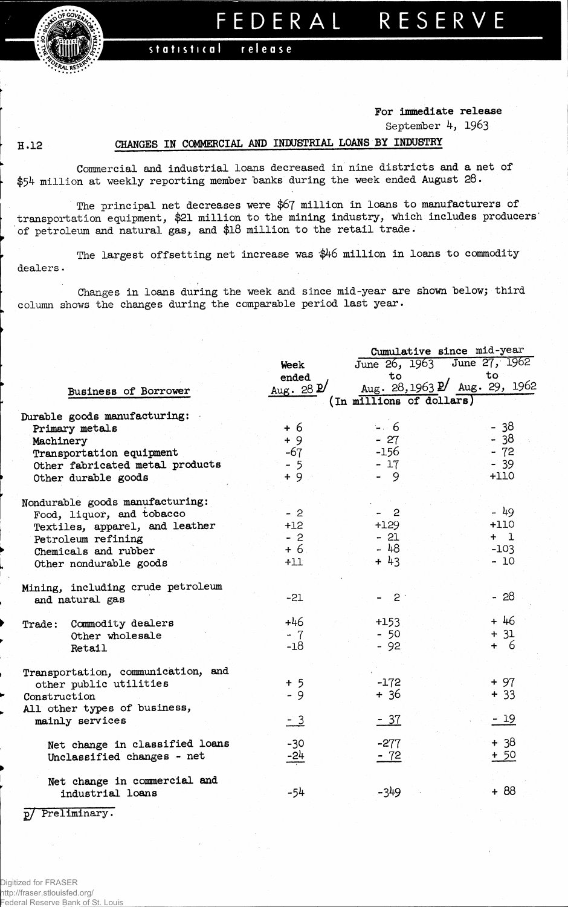

## FEDERAL RESERVE

statistical release

## **For immediate release**

**September 4, 19&3**

## **H.12 CHANGES IN COMMERCIAL AMD INDUSTRIAL LOAMS BY INDUSTRY**

**Commercial and industrial loans decreased in nine districts and a net of \$54 million at weekly reporting member banks during the week ended August 28.**

**The principal net decreases were \$67 million in loans to manufacturers of transportation equipment, \$21 million to the mining industry, which includes producers' of petroleum and natural gas, and \$18 million to the retail trade.**

**The largest offsetting net increase was '\$46 million in loans to commodity dealers•** 

**Changes in loans during the week and since mid-year are shown below; third column shows the changes during the comparable period last year.**

|                                    |                      | Cumulative since mid-year |                               |  |  |  |  |  |
|------------------------------------|----------------------|---------------------------|-------------------------------|--|--|--|--|--|
|                                    | Week                 |                           | June 26, 1963 June 27, 1962   |  |  |  |  |  |
|                                    | ended                | to                        | to                            |  |  |  |  |  |
| Business of Borrower               | Aug. 28 $\mathbf{D}$ |                           | Aug. 28, 1963 P Aug. 29, 1962 |  |  |  |  |  |
|                                    |                      | (In millions of dollars)  |                               |  |  |  |  |  |
| Durable goods manufacturing:       |                      |                           |                               |  |  |  |  |  |
| Primary metals                     | $+6$                 | $-6$                      | $-38$                         |  |  |  |  |  |
| Machinery                          | $+9$                 | $-27$                     | $-38$                         |  |  |  |  |  |
| Transportation equipment           | $-67$                | $-156$                    | $-72$                         |  |  |  |  |  |
| Other fabricated metal products    | $-5$                 | $-17$                     | $-39$                         |  |  |  |  |  |
| Other durable goods                | $+9$                 | - 9                       | $+110$                        |  |  |  |  |  |
| Nondurable goods manufacturing:    |                      |                           |                               |  |  |  |  |  |
| Food, liquor, and tobacco          | $-2$                 | $-2$                      | - 49                          |  |  |  |  |  |
| Textiles, apparel, and leather     | $+12$                | $+129$                    | $+110$                        |  |  |  |  |  |
| Petroleum refining                 | $-2$                 | $-21$                     | $+1$                          |  |  |  |  |  |
| Chemicals and rubber               | $+6$                 | $-48$                     | $-103$                        |  |  |  |  |  |
| Other nondurable goods             | $+11$                | $+ 43$                    | $-10$                         |  |  |  |  |  |
| Mining, including crude petroleum  |                      |                           |                               |  |  |  |  |  |
| and natural gas                    | $-21$                | $-2$                      | $-28$                         |  |  |  |  |  |
| Commodity dealers<br>Trade:        | $+46$                | $+153$                    | $+46$                         |  |  |  |  |  |
| Other wholesale                    | $-7$                 | $-50$                     | $+31$                         |  |  |  |  |  |
| Retail                             | $-18$                | $-92$                     | $+ 6$                         |  |  |  |  |  |
| Transportation, communication, and |                      |                           |                               |  |  |  |  |  |
| other public utilities             | $+5$                 | $-172$                    | $+97$                         |  |  |  |  |  |
| Construction                       | - 9                  | $+36$                     | $+33$                         |  |  |  |  |  |
| All other types of business,       |                      |                           |                               |  |  |  |  |  |
| mainly services                    | $-3$                 | <u>- 37</u>               | $-19$                         |  |  |  |  |  |
| Net change in classified loans     | $-30$                | $-277$                    | $+38$                         |  |  |  |  |  |
| Unclassified changes - net         | $-24$                | $-72$                     | $+50$                         |  |  |  |  |  |
| Net change in commercial and       |                      |                           |                               |  |  |  |  |  |
| industrial loans                   | -54                  | -349                      | $+88$                         |  |  |  |  |  |
|                                    |                      |                           |                               |  |  |  |  |  |

**p/ Preliminary.**